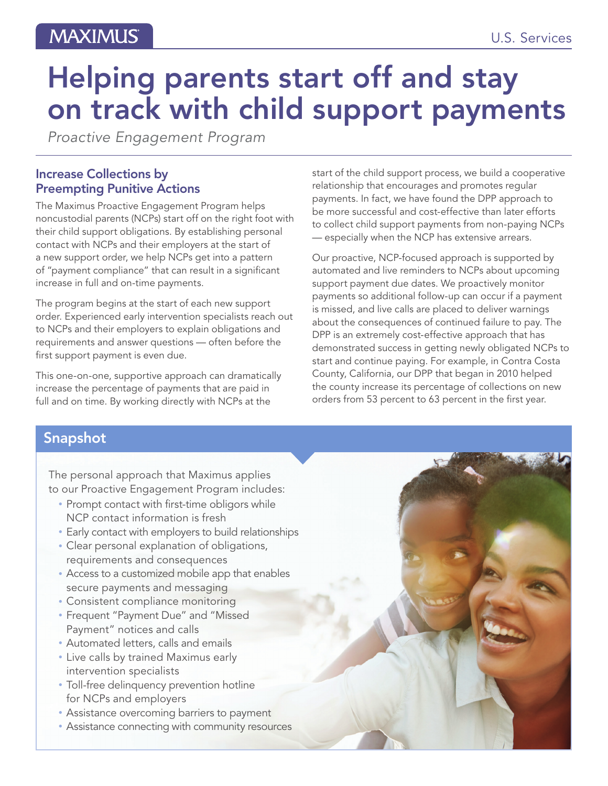## **MAXIMUS**

# Helping parents start off and stay on track with child support payments

*Proactive Engagement Program*

#### Increase Collections by Preempting Punitive Actions

The Maximus Proactive Engagement Program helps noncustodial parents (NCPs) start off on the right foot with their child support obligations. By establishing personal contact with NCPs and their employers at the start of a new support order, we help NCPs get into a pattern of "payment compliance" that can result in a significant increase in full and on-time payments.

The program begins at the start of each new support order. Experienced early intervention specialists reach out to NCPs and their employers to explain obligations and requirements and answer questions — often before the first support payment is even due.

This one-on-one, supportive approach can dramatically increase the percentage of payments that are paid in full and on time. By working directly with NCPs at the

start of the child support process, we build a cooperative relationship that encourages and promotes regular payments. In fact, we have found the DPP approach to be more successful and cost-effective than later efforts to collect child support payments from non-paying NCPs — especially when the NCP has extensive arrears.

Our proactive, NCP-focused approach is supported by automated and live reminders to NCPs about upcoming support payment due dates. We proactively monitor payments so additional follow-up can occur if a payment is missed, and live calls are placed to deliver warnings about the consequences of continued failure to pay. The DPP is an extremely cost-effective approach that has demonstrated success in getting newly obligated NCPs to start and continue paying. For example, in Contra Costa County, California, our DPP that began in 2010 helped the county increase its percentage of collections on new orders from 53 percent to 63 percent in the first year.

### Snapshot

The personal approach that Maximus applies to our Proactive Engagement Program includes:

- Prompt contact with first-time obligors while NCP contact information is fresh
- Early contact with employers to build relationships
- Clear personal explanation of obligations, requirements and consequences
- Access to a customized mobile app that enables secure payments and messaging
- Consistent compliance monitoring
- Frequent "Payment Due" and "Missed Payment" notices and calls
- Automated letters, calls and emails
- Live calls by trained Maximus early intervention specialists
- Toll-free delinquency prevention hotline for NCPs and employers
- Assistance overcoming barriers to payment
- Assistance connecting with community resources